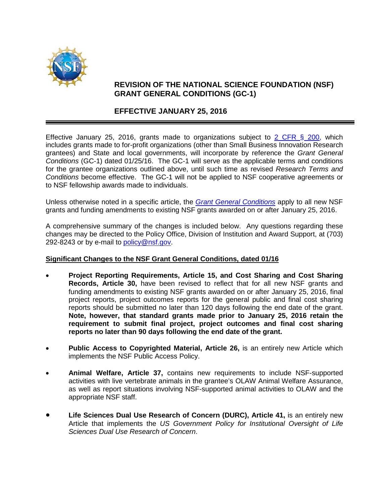

## **REVISION OF THE NATIONAL SCIENCE FOUNDATION (NSF) GRANT GENERAL CONDITIONS (GC-1)**

## **EFFECTIVE JANUARY 25, 2016**

Effective January 25, 2016, grants made to organizations subject to 2 CFR  $\S$  200, which includes grants made to for-profit organizations (other than Small Business Innovation Research grantees) and State and local governments, will incorporate by reference the *Grant General Conditions* (GC-1) dated 01/25/16. The GC-1 will serve as the applicable terms and conditions for the grantee organizations outlined above, until such time as revised *Research Terms and Conditions* become effective. The GC-1 will not be applied to NSF cooperative agreements or to NSF fellowship awards made to individuals.

Unless otherwise noted in a specific article, the *[Grant General Conditions](http://www.nsf.gov/pubs/policydocs/gc1/jan16.pdf)* apply to all new NSF grants and funding amendments to existing NSF grants awarded on or after January 25, 2016.

A comprehensive summary of the changes is included below. Any questions regarding these changes may be directed to the Policy Office, Division of Institution and Award Support, at (703) 292-8243 or by e-mail to [policy@nsf.gov.](mailto:policy@nsf.gov)

## **Significant Changes to the NSF Grant General Conditions, dated 01/16**

- **Project Reporting Requirements, Article 15, and Cost Sharing and Cost Sharing Records, Article 30,** have been revised to reflect that for all new NSF grants and funding amendments to existing NSF grants awarded on or after January 25, 2016, final project reports, project outcomes reports for the general public and final cost sharing reports should be submitted no later than 120 days following the end date of the grant. **Note, however, that standard grants made prior to January 25, 2016 retain the requirement to submit final project, project outcomes and final cost sharing reports no later than 90 days following the end date of the grant.**
- **Public Access to Copyrighted Material, Article 26,** is an entirely new Article which implements the NSF Public Access Policy.
- **Animal Welfare, Article 37,** contains new requirements to include NSF-supported activities with live vertebrate animals in the grantee's OLAW Animal Welfare Assurance, as well as report situations involving NSF-supported animal activities to OLAW and the appropriate NSF staff.
- **Life Sciences Dual Use Research of Concern (DURC), Article 41,** is an entirely new Article that implements the *US Government Policy for Institutional Oversight of Life Sciences Dual Use Research of Concern*.